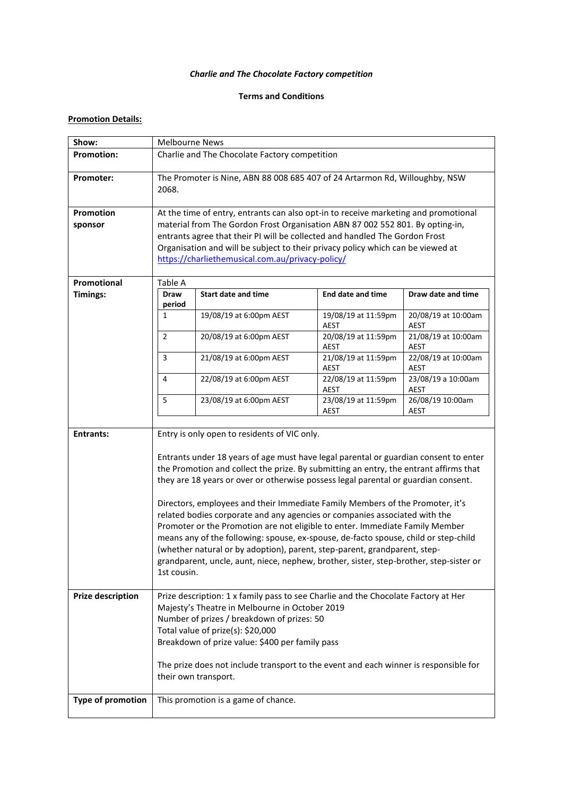# *Charlie and The Chocolate Factory competition*

## **Terms and Conditions**

# **Promotion Details:**

| Show:                       | <b>Melbourne News</b>                                                                                                                                                                                                                                                                                                                                                                                                                                                                                                                                                                                                                                                                                                                                                                                                                           |                                     |                                    |                                    |
|-----------------------------|-------------------------------------------------------------------------------------------------------------------------------------------------------------------------------------------------------------------------------------------------------------------------------------------------------------------------------------------------------------------------------------------------------------------------------------------------------------------------------------------------------------------------------------------------------------------------------------------------------------------------------------------------------------------------------------------------------------------------------------------------------------------------------------------------------------------------------------------------|-------------------------------------|------------------------------------|------------------------------------|
| <b>Promotion:</b>           | Charlie and The Chocolate Factory competition                                                                                                                                                                                                                                                                                                                                                                                                                                                                                                                                                                                                                                                                                                                                                                                                   |                                     |                                    |                                    |
| Promoter:                   | The Promoter is Nine, ABN 88 008 685 407 of 24 Artarmon Rd, Willoughby, NSW<br>2068.                                                                                                                                                                                                                                                                                                                                                                                                                                                                                                                                                                                                                                                                                                                                                            |                                     |                                    |                                    |
| <b>Promotion</b><br>sponsor | At the time of entry, entrants can also opt-in to receive marketing and promotional<br>material from The Gordon Frost Organisation ABN 87 002 552 801. By opting-in,<br>entrants agree that their PI will be collected and handled The Gordon Frost<br>Organisation and will be subject to their privacy policy which can be viewed at<br>https://charliethemusical.com.au/privacy-policy/                                                                                                                                                                                                                                                                                                                                                                                                                                                      |                                     |                                    |                                    |
| Promotional                 | Table A                                                                                                                                                                                                                                                                                                                                                                                                                                                                                                                                                                                                                                                                                                                                                                                                                                         |                                     |                                    |                                    |
| <b>Timings:</b>             | <b>Draw</b><br>period                                                                                                                                                                                                                                                                                                                                                                                                                                                                                                                                                                                                                                                                                                                                                                                                                           | <b>Start date and time</b>          | <b>End date and time</b>           | Draw date and time                 |
|                             | 1                                                                                                                                                                                                                                                                                                                                                                                                                                                                                                                                                                                                                                                                                                                                                                                                                                               | 19/08/19 at 6:00pm AEST             | 19/08/19 at 11:59pm<br><b>AEST</b> | 20/08/19 at 10:00am<br><b>AEST</b> |
|                             | $\overline{2}$                                                                                                                                                                                                                                                                                                                                                                                                                                                                                                                                                                                                                                                                                                                                                                                                                                  | 20/08/19 at 6:00pm AEST             | 20/08/19 at 11:59pm<br>AEST        | 21/08/19 at 10:00am<br><b>AEST</b> |
|                             | $\overline{3}$                                                                                                                                                                                                                                                                                                                                                                                                                                                                                                                                                                                                                                                                                                                                                                                                                                  | 21/08/19 at 6:00pm AEST             | 21/08/19 at 11:59pm<br>AEST        | 22/08/19 at 10:00am<br>AEST        |
|                             | 4                                                                                                                                                                                                                                                                                                                                                                                                                                                                                                                                                                                                                                                                                                                                                                                                                                               | 22/08/19 at 6:00pm AEST             | 22/08/19 at 11:59pm<br><b>AEST</b> | 23/08/19 a 10:00am<br>AEST         |
|                             | 5                                                                                                                                                                                                                                                                                                                                                                                                                                                                                                                                                                                                                                                                                                                                                                                                                                               | 23/08/19 at 6:00pm AEST             | 23/08/19 at 11:59pm<br>AEST        | 26/08/19 10:00am<br>AEST           |
| <b>Entrants:</b>            | Entry is only open to residents of VIC only.<br>Entrants under 18 years of age must have legal parental or guardian consent to enter<br>the Promotion and collect the prize. By submitting an entry, the entrant affirms that<br>they are 18 years or over or otherwise possess legal parental or guardian consent.<br>Directors, employees and their Immediate Family Members of the Promoter, it's<br>related bodies corporate and any agencies or companies associated with the<br>Promoter or the Promotion are not eligible to enter. Immediate Family Member<br>means any of the following: spouse, ex-spouse, de-facto spouse, child or step-child<br>(whether natural or by adoption), parent, step-parent, grandparent, step-<br>grandparent, uncle, aunt, niece, nephew, brother, sister, step-brother, step-sister or<br>1st cousin. |                                     |                                    |                                    |
| <b>Prize description</b>    | Prize description: 1 x family pass to see Charlie and the Chocolate Factory at Her<br>Majesty's Theatre in Melbourne in October 2019<br>Number of prizes / breakdown of prizes: 50<br>Total value of prize(s): \$20,000<br>Breakdown of prize value: \$400 per family pass<br>The prize does not include transport to the event and each winner is responsible for<br>their own transport.                                                                                                                                                                                                                                                                                                                                                                                                                                                      |                                     |                                    |                                    |
| Type of promotion           |                                                                                                                                                                                                                                                                                                                                                                                                                                                                                                                                                                                                                                                                                                                                                                                                                                                 | This promotion is a game of chance. |                                    |                                    |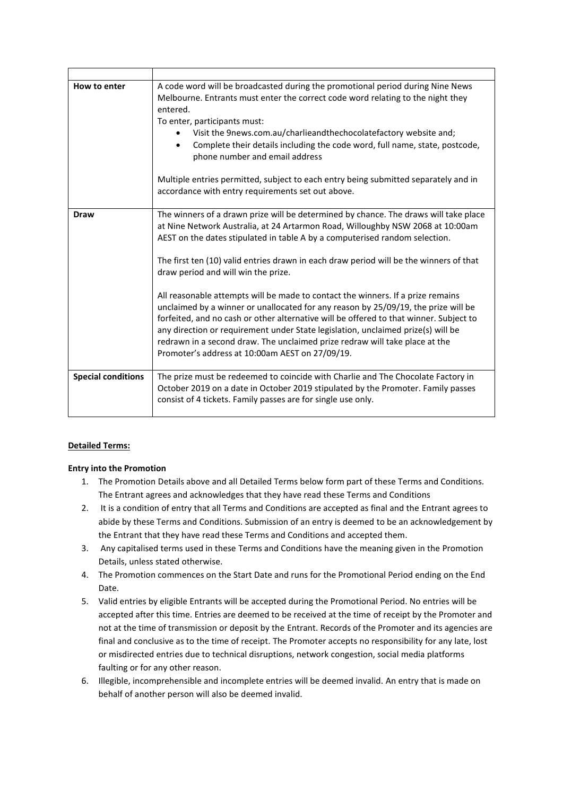| How to enter              | A code word will be broadcasted during the promotional period during Nine News<br>Melbourne. Entrants must enter the correct code word relating to the night they<br>entered.<br>To enter, participants must:<br>Visit the 9news.com.au/charlieandthechocolatefactory website and;<br>Complete their details including the code word, full name, state, postcode,<br>phone number and email address<br>Multiple entries permitted, subject to each entry being submitted separately and in<br>accordance with entry requirements set out above.                                                                                                                                                                                                                                                                                                                                 |
|---------------------------|---------------------------------------------------------------------------------------------------------------------------------------------------------------------------------------------------------------------------------------------------------------------------------------------------------------------------------------------------------------------------------------------------------------------------------------------------------------------------------------------------------------------------------------------------------------------------------------------------------------------------------------------------------------------------------------------------------------------------------------------------------------------------------------------------------------------------------------------------------------------------------|
| <b>Draw</b>               | The winners of a drawn prize will be determined by chance. The draws will take place<br>at Nine Network Australia, at 24 Artarmon Road, Willoughby NSW 2068 at 10:00am<br>AEST on the dates stipulated in table A by a computerised random selection.<br>The first ten (10) valid entries drawn in each draw period will be the winners of that<br>draw period and will win the prize.<br>All reasonable attempts will be made to contact the winners. If a prize remains<br>unclaimed by a winner or unallocated for any reason by 25/09/19, the prize will be<br>forfeited, and no cash or other alternative will be offered to that winner. Subject to<br>any direction or requirement under State legislation, unclaimed prize(s) will be<br>redrawn in a second draw. The unclaimed prize redraw will take place at the<br>Promoter's address at 10:00am AEST on 27/09/19. |
| <b>Special conditions</b> | The prize must be redeemed to coincide with Charlie and The Chocolate Factory in<br>October 2019 on a date in October 2019 stipulated by the Promoter. Family passes<br>consist of 4 tickets. Family passes are for single use only.                                                                                                                                                                                                                                                                                                                                                                                                                                                                                                                                                                                                                                            |

## **Detailed Terms:**

## **Entry into the Promotion**

- 1. The Promotion Details above and all Detailed Terms below form part of these Terms and Conditions. The Entrant agrees and acknowledges that they have read these Terms and Conditions
- 2. It is a condition of entry that all Terms and Conditions are accepted as final and the Entrant agrees to abide by these Terms and Conditions. Submission of an entry is deemed to be an acknowledgement by the Entrant that they have read these Terms and Conditions and accepted them.
- 3. Any capitalised terms used in these Terms and Conditions have the meaning given in the Promotion Details, unless stated otherwise.
- 4. The Promotion commences on the Start Date and runs for the Promotional Period ending on the End Date.
- 5. Valid entries by eligible Entrants will be accepted during the Promotional Period. No entries will be accepted after this time. Entries are deemed to be received at the time of receipt by the Promoter and not at the time of transmission or deposit by the Entrant. Records of the Promoter and its agencies are final and conclusive as to the time of receipt. The Promoter accepts no responsibility for any late, lost or misdirected entries due to technical disruptions, network congestion, social media platforms faulting or for any other reason.
- 6. Illegible, incomprehensible and incomplete entries will be deemed invalid. An entry that is made on behalf of another person will also be deemed invalid.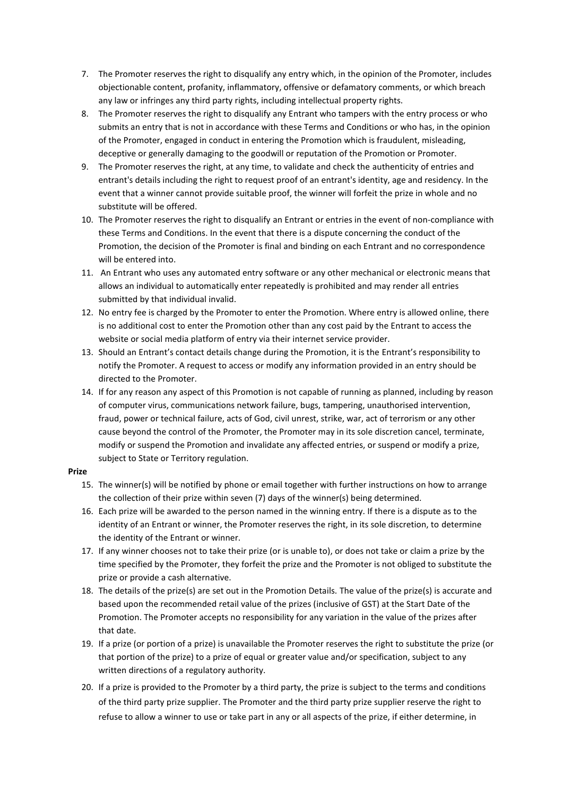- 7. The Promoter reserves the right to disqualify any entry which, in the opinion of the Promoter, includes objectionable content, profanity, inflammatory, offensive or defamatory comments, or which breach any law or infringes any third party rights, including intellectual property rights.
- 8. The Promoter reserves the right to disqualify any Entrant who tampers with the entry process or who submits an entry that is not in accordance with these Terms and Conditions or who has, in the opinion of the Promoter, engaged in conduct in entering the Promotion which is fraudulent, misleading, deceptive or generally damaging to the goodwill or reputation of the Promotion or Promoter.
- 9. The Promoter reserves the right, at any time, to validate and check the authenticity of entries and entrant's details including the right to request proof of an entrant's identity, age and residency. In the event that a winner cannot provide suitable proof, the winner will forfeit the prize in whole and no substitute will be offered.
- 10. The Promoter reserves the right to disqualify an Entrant or entries in the event of non-compliance with these Terms and Conditions. In the event that there is a dispute concerning the conduct of the Promotion, the decision of the Promoter is final and binding on each Entrant and no correspondence will be entered into.
- 11. An Entrant who uses any automated entry software or any other mechanical or electronic means that allows an individual to automatically enter repeatedly is prohibited and may render all entries submitted by that individual invalid.
- 12. No entry fee is charged by the Promoter to enter the Promotion. Where entry is allowed online, there is no additional cost to enter the Promotion other than any cost paid by the Entrant to access the website or social media platform of entry via their internet service provider.
- 13. Should an Entrant's contact details change during the Promotion, it is the Entrant's responsibility to notify the Promoter. A request to access or modify any information provided in an entry should be directed to the Promoter.
- 14. If for any reason any aspect of this Promotion is not capable of running as planned, including by reason of computer virus, communications network failure, bugs, tampering, unauthorised intervention, fraud, power or technical failure, acts of God, civil unrest, strike, war, act of terrorism or any other cause beyond the control of the Promoter, the Promoter may in its sole discretion cancel, terminate, modify or suspend the Promotion and invalidate any affected entries, or suspend or modify a prize, subject to State or Territory regulation.

## **Prize**

- 15. The winner(s) will be notified by phone or email together with further instructions on how to arrange the collection of their prize within seven (7) days of the winner(s) being determined.
- 16. Each prize will be awarded to the person named in the winning entry. If there is a dispute as to the identity of an Entrant or winner, the Promoter reserves the right, in its sole discretion, to determine the identity of the Entrant or winner.
- 17. If any winner chooses not to take their prize (or is unable to), or does not take or claim a prize by the time specified by the Promoter, they forfeit the prize and the Promoter is not obliged to substitute the prize or provide a cash alternative.
- 18. The details of the prize(s) are set out in the Promotion Details. The value of the prize(s) is accurate and based upon the recommended retail value of the prizes (inclusive of GST) at the Start Date of the Promotion. The Promoter accepts no responsibility for any variation in the value of the prizes after that date.
- 19. If a prize (or portion of a prize) is unavailable the Promoter reserves the right to substitute the prize (or that portion of the prize) to a prize of equal or greater value and/or specification, subject to any written directions of a regulatory authority.
- 20. If a prize is provided to the Promoter by a third party, the prize is subject to the terms and conditions of the third party prize supplier. The Promoter and the third party prize supplier reserve the right to refuse to allow a winner to use or take part in any or all aspects of the prize, if either determine, in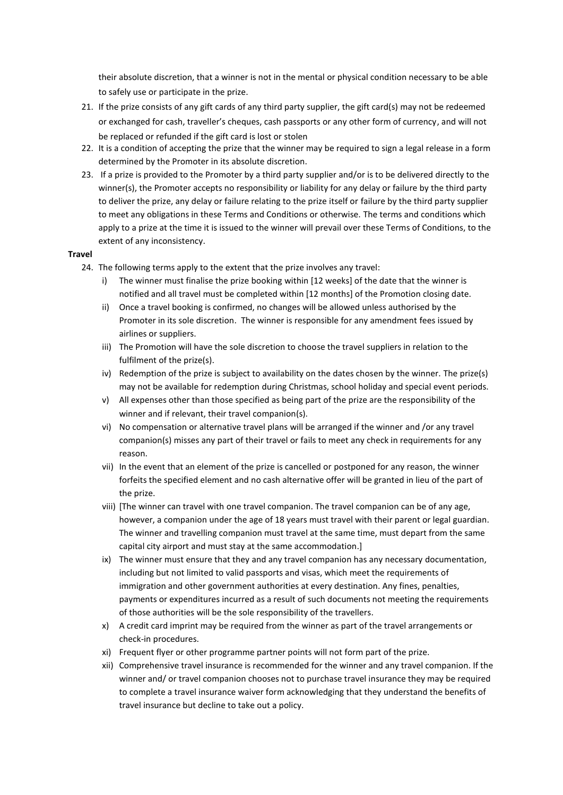their absolute discretion, that a winner is not in the mental or physical condition necessary to be able to safely use or participate in the prize.

- 21. If the prize consists of any gift cards of any third party supplier, the gift card(s) may not be redeemed or exchanged for cash, traveller's cheques, cash passports or any other form of currency, and will not be replaced or refunded if the gift card is lost or stolen
- 22. It is a condition of accepting the prize that the winner may be required to sign a legal release in a form determined by the Promoter in its absolute discretion.
- 23. If a prize is provided to the Promoter by a third party supplier and/or is to be delivered directly to the winner(s), the Promoter accepts no responsibility or liability for any delay or failure by the third party to deliver the prize, any delay or failure relating to the prize itself or failure by the third party supplier to meet any obligations in these Terms and Conditions or otherwise. The terms and conditions which apply to a prize at the time it is issued to the winner will prevail over these Terms of Conditions, to the extent of any inconsistency.

#### **Travel**

- 24. The following terms apply to the extent that the prize involves any travel:
	- i) The winner must finalise the prize booking within [12 weeks] of the date that the winner is notified and all travel must be completed within [12 months] of the Promotion closing date.
	- ii) Once a travel booking is confirmed, no changes will be allowed unless authorised by the Promoter in its sole discretion. The winner is responsible for any amendment fees issued by airlines or suppliers.
	- iii) The Promotion will have the sole discretion to choose the travel suppliers in relation to the fulfilment of the prize(s).
	- iv) Redemption of the prize is subject to availability on the dates chosen by the winner. The prize(s) may not be available for redemption during Christmas, school holiday and special event periods.
	- v) All expenses other than those specified as being part of the prize are the responsibility of the winner and if relevant, their travel companion(s).
	- vi) No compensation or alternative travel plans will be arranged if the winner and /or any travel companion(s) misses any part of their travel or fails to meet any check in requirements for any reason.
	- vii) In the event that an element of the prize is cancelled or postponed for any reason, the winner forfeits the specified element and no cash alternative offer will be granted in lieu of the part of the prize.
	- viii) [The winner can travel with one travel companion. The travel companion can be of any age, however, a companion under the age of 18 years must travel with their parent or legal guardian. The winner and travelling companion must travel at the same time, must depart from the same capital city airport and must stay at the same accommodation.]
	- ix) The winner must ensure that they and any travel companion has any necessary documentation, including but not limited to valid passports and visas, which meet the requirements of immigration and other government authorities at every destination. Any fines, penalties, payments or expenditures incurred as a result of such documents not meeting the requirements of those authorities will be the sole responsibility of the travellers.
	- x) A credit card imprint may be required from the winner as part of the travel arrangements or check-in procedures.
	- xi) Frequent flyer or other programme partner points will not form part of the prize.
	- xii) Comprehensive travel insurance is recommended for the winner and any travel companion. If the winner and/ or travel companion chooses not to purchase travel insurance they may be required to complete a travel insurance waiver form acknowledging that they understand the benefits of travel insurance but decline to take out a policy.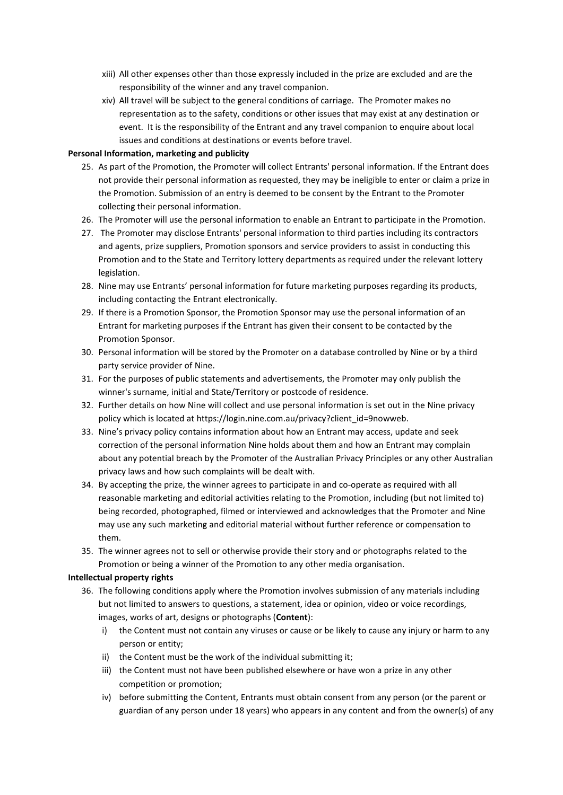- xiii) All other expenses other than those expressly included in the prize are excluded and are the responsibility of the winner and any travel companion.
- xiv) All travel will be subject to the general conditions of carriage. The Promoter makes no representation as to the safety, conditions or other issues that may exist at any destination or event. It is the responsibility of the Entrant and any travel companion to enquire about local issues and conditions at destinations or events before travel.

### **Personal Information, marketing and publicity**

- 25. As part of the Promotion, the Promoter will collect Entrants' personal information. If the Entrant does not provide their personal information as requested, they may be ineligible to enter or claim a prize in the Promotion. Submission of an entry is deemed to be consent by the Entrant to the Promoter collecting their personal information.
- 26. The Promoter will use the personal information to enable an Entrant to participate in the Promotion.
- 27. The Promoter may disclose Entrants' personal information to third parties including its contractors and agents, prize suppliers, Promotion sponsors and service providers to assist in conducting this Promotion and to the State and Territory lottery departments as required under the relevant lottery legislation.
- 28. Nine may use Entrants' personal information for future marketing purposes regarding its products, including contacting the Entrant electronically.
- 29. If there is a Promotion Sponsor, the Promotion Sponsor may use the personal information of an Entrant for marketing purposes if the Entrant has given their consent to be contacted by the Promotion Sponsor.
- 30. Personal information will be stored by the Promoter on a database controlled by Nine or by a third party service provider of Nine.
- 31. For the purposes of public statements and advertisements, the Promoter may only publish the winner's surname, initial and State/Territory or postcode of residence.
- 32. Further details on how Nine will collect and use personal information is set out in the Nine privacy policy which is located at [https://login.nine.com.au/privacy?client\\_id=9nowweb.](https://login.nine.com.au/privacy?client_id=9nowweb)
- 33. Nine's privacy policy contains information about how an Entrant may access, update and seek correction of the personal information Nine holds about them and how an Entrant may complain about any potential breach by the Promoter of the Australian Privacy Principles or any other Australian privacy laws and how such complaints will be dealt with.
- 34. By accepting the prize, the winner agrees to participate in and co-operate as required with all reasonable marketing and editorial activities relating to the Promotion, including (but not limited to) being recorded, photographed, filmed or interviewed and acknowledges that the Promoter and Nine may use any such marketing and editorial material without further reference or compensation to them.
- 35. The winner agrees not to sell or otherwise provide their story and or photographs related to the Promotion or being a winner of the Promotion to any other media organisation.

#### **Intellectual property rights**

- 36. The following conditions apply where the Promotion involves submission of any materials including but not limited to answers to questions, a statement, idea or opinion, video or voice recordings, images, works of art, designs or photographs (**Content**):
	- i) the Content must not contain any viruses or cause or be likely to cause any injury or harm to any person or entity;
	- ii) the Content must be the work of the individual submitting it;
	- iii) the Content must not have been published elsewhere or have won a prize in any other competition or promotion;
	- iv) before submitting the Content, Entrants must obtain consent from any person (or the parent or guardian of any person under 18 years) who appears in any content and from the owner(s) of any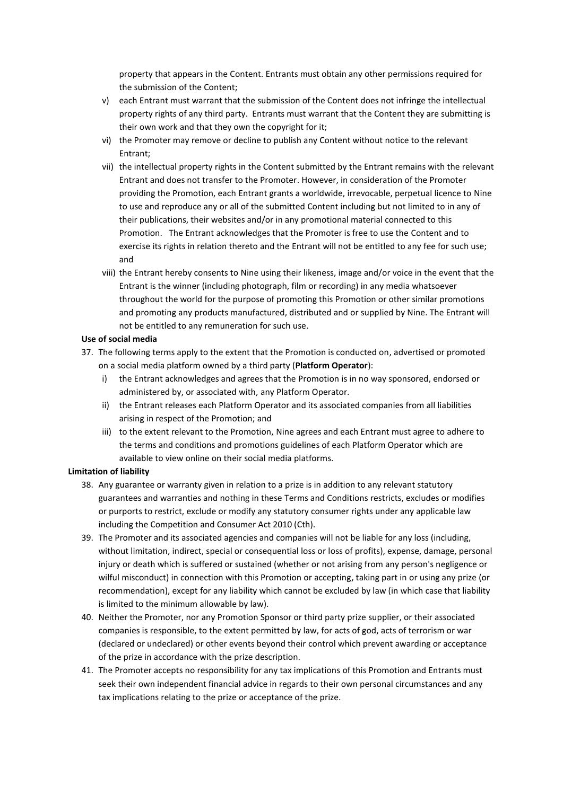property that appears in the Content. Entrants must obtain any other permissions required for the submission of the Content;

- v) each Entrant must warrant that the submission of the Content does not infringe the intellectual property rights of any third party. Entrants must warrant that the Content they are submitting is their own work and that they own the copyright for it;
- vi) the Promoter may remove or decline to publish any Content without notice to the relevant Entrant;
- vii) the intellectual property rights in the Content submitted by the Entrant remains with the relevant Entrant and does not transfer to the Promoter. However, in consideration of the Promoter providing the Promotion, each Entrant grants a worldwide, irrevocable, perpetual licence to Nine to use and reproduce any or all of the submitted Content including but not limited to in any of their publications, their websites and/or in any promotional material connected to this Promotion. The Entrant acknowledges that the Promoter is free to use the Content and to exercise its rights in relation thereto and the Entrant will not be entitled to any fee for such use; and
- viii) the Entrant hereby consents to Nine using their likeness, image and/or voice in the event that the Entrant is the winner (including photograph, film or recording) in any media whatsoever throughout the world for the purpose of promoting this Promotion or other similar promotions and promoting any products manufactured, distributed and or supplied by Nine. The Entrant will not be entitled to any remuneration for such use.

## **Use of social media**

37. The following terms apply to the extent that the Promotion is conducted on, advertised or promoted on a social media platform owned by a third party (**Platform Operator**):

- i) the Entrant acknowledges and agrees that the Promotion is in no way sponsored, endorsed or administered by, or associated with, any Platform Operator.
- ii) the Entrant releases each Platform Operator and its associated companies from all liabilities arising in respect of the Promotion; and
- iii) to the extent relevant to the Promotion, Nine agrees and each Entrant must agree to adhere to the terms and conditions and promotions guidelines of each Platform Operator which are available to view online on their social media platforms.

### **Limitation of liability**

- 38. Any guarantee or warranty given in relation to a prize is in addition to any relevant statutory guarantees and warranties and nothing in these Terms and Conditions restricts, excludes or modifies or purports to restrict, exclude or modify any statutory consumer rights under any applicable law including the Competition and Consumer Act 2010 (Cth).
- 39. The Promoter and its associated agencies and companies will not be liable for any loss (including, without limitation, indirect, special or consequential loss or loss of profits), expense, damage, personal injury or death which is suffered or sustained (whether or not arising from any person's negligence or wilful misconduct) in connection with this Promotion or accepting, taking part in or using any prize (or recommendation), except for any liability which cannot be excluded by law (in which case that liability is limited to the minimum allowable by law).
- 40. Neither the Promoter, nor any Promotion Sponsor or third party prize supplier, or their associated companies is responsible, to the extent permitted by law, for acts of god, acts of terrorism or war (declared or undeclared) or other events beyond their control which prevent awarding or acceptance of the prize in accordance with the prize description.
- 41. The Promoter accepts no responsibility for any tax implications of this Promotion and Entrants must seek their own independent financial advice in regards to their own personal circumstances and any tax implications relating to the prize or acceptance of the prize.